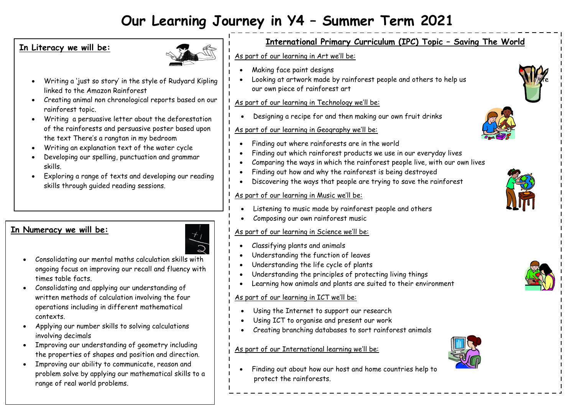# **Our Learning Journey in Y4 – Summer Term 2021**

#### **In Literacy we will be:**



- Writing a 'just so story' in the style of Rudyard Kipling linked to the Amazon Rainforest
- Creating animal non chronological reports based on our rainforest topic.
- Writing a persuasive letter about the deforestation of the rainforests and persuasive poster based upon the text There's a rangtan in my bedroom
- Writing an explanation text of the water cycle
- Developing our spelling, punctuation and grammar skills.
- Exploring a range of texts and developing our reading skills through guided reading sessions.

# **In Numeracy we will be:**



- Consolidating our mental maths calculation skills with ongoing focus on improving our recall and fluency with times table facts.
- Consolidating and applying our understanding of written methods of calculation involving the four operations including in different mathematical contexts.
- Applying our number skills to solving calculations involving decimals
- Improving our understanding of geometry including the properties of shapes and position and direction.
- Improving our ability to communicate, reason and problem solve by applying our mathematical skills to a range of real world problems.

# **International Primary Curriculum (IPC) Topic – Saving The World**

As part of our learning in Art we'll be:

- Making face paint designs
- Looking at artwork made by rainforest people and others to help us our own piece of rainforest art
- As part of our learning in Technology we'll be:
- Designing a recipe for and then making our own fruit drinks

#### As part of our learning in Geography we'll be:



- Finding out where rainforests are in the world
- Finding out which rainforest products we use in our everyday lives
- Comparing the ways in which the rainforest people live, with our own lives
- Finding out how and why the rainforest is being destroyed
- Discovering the ways that people are trying to save the rainforest

#### As part of our learning in Music we'll be:

- Listening to music made by rainforest people and others
- Composing our own rainforest music

#### As part of our learning in Science we'll be:

- Classifying plants and animals
- Understanding the function of leaves
- Understanding the life cycle of plants
- Understanding the principles of protecting living things
- Learning how animals and plants are suited to their environment

#### As part of our learning in ICT we'll be:

- Using the Internet to support our research
- Using ICT to organise and present our work
- Creating branching databases to sort rainforest animals

# As part of our International learning we'll be:

 Finding out about how our host and home countries help to protect the rainforests.